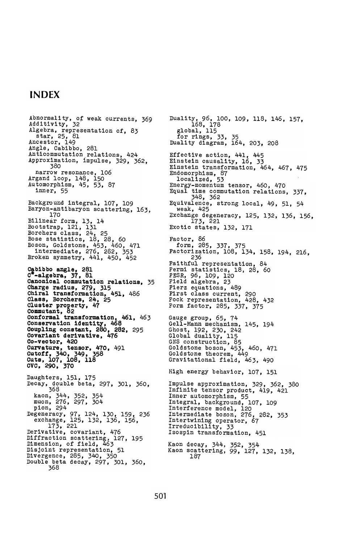## INDEX

Abnormality, of weak currents, 369<br>Additivity, 32 Algebra , representation of , 83 star , 25 , 81 Ancestor , 149 Angle, Cabibbo, 281<br>Anticommutation relations, 424<br>Approximation, impulse, 329, 362,<br>380 narrow resonance, 106<br>Argand loop, 148, 150<br>Automorphism, 45, 53, 87 inner, 55 , 109<br>ring, 163,<br>' Background integral, 107, 109 163, baryon scattering, 170<br>Bilinear form, 13, 14<br>Bootstrap, 121, 131<br>Borchers class, 24, 2<u>9</u> Bose statistics , 18 , 28 , 60 Boson , Goldstone , 453 , 460 , 471 intermediate , 276 , 282 , 353 Broken symmetry, 441, 450, 452 Cabibbo angle, 281<br>C\*-algebra, 37, 81 Canonical commutation relations, 35 Charge radius, 279, 315<br>Charge radius, 279, 315<br>Chiral transformation, 451, 486<br>Class, Borchers, 24, 25 Class, Borchers, 24, 25<br>Cluster property, 47<br>Commutant, 82<br>Conservation identity, 468<br>Conservation identity, 468 **461,** 463 Coupling constant, 280, 282, 295 Covariant derivative, 476 Co-vector, 420 Daughters, 151, 175 Decay, double beta, 297, 301, 360, <sup>368</sup> kaon, 344, 352, 354 muon, 276, 297, 304 Degeneracy, 97, 124, 130, 159, 236<br>exchange, 125, 132, 136, 156,<br>173, 221<br>Derivative, covariant, 476 Diffraction scattering, 127, 195<br>Dimension, of field, 463 Disjoint representation, 51 Divergence, 285, 340, 350 Double beta decay, 297, 301, 360, <sup>368</sup>

Duality, 96, 100, 109, 118, 146, 157,<br>168, 178<br>global, 115 for rings, 33, 35 Duality diagram, 164, 203, 208 Effective action,  $441, 445$ Einstein causality,  $16$ ,  $33$ Einstein transformation, 464, 467, 475 Endomorphism, 87<br>
localized, 53<br>
Energy-momentum tensor, 460, 470<br>
Equal time commutation relations, 337, 101m, 205, 37, 375<br>Factorization, 108, 134, 158, 194, 216,<br>*Ex* 194 Gauge group , 65 , 74 Ge11 - Mann mechanism , 145 , Ghost , 192 , 230 , 242 Global duality , 115 491 471 GNS construction , 85 Goldstone boson , 453 , 460 , Goldstone theorem , 449 Gravitational field, 463, 490 Kaon decay, 344, 352, 354<br>Kaon scattering, 99, 127, 132, 138,<br>138, 138, 187 For rings, 33, 35<br>
Duality diagram, 164, 203, 208<br>
Effective action, 441, 445<br>
Einstein causality, 16, 33<br>
Einstein tensormation, 464, 467, 475<br>
Energy-momentum tensor, 460, 470<br>
Energy-momentum tensor, 460, 470<br>
Equal tim Factor, 86<br>form, 285, 337, 236 Faithful representation, 84 Fermi statistics, 18, 28, 60 FESR , 96 , 109 , 120 Field algebra , 23 Fierz equations, 489 First class current , 290 Fock representation , 428 , 432 Form factor, 285, 337, 375 High energy behavior, 107, 151 Impulse approximation, 329, 362, 380 Infinite tensor product, 419, 421 Inner automorphism, 55 Integral, background, 107, 109 Interference model , 120 Intermediate boson , 276 , 282 , 353 Intertwining operator , 67 Irreducibility , 33 Isospin transformation , 451